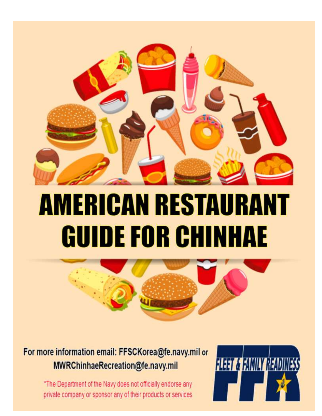

# **AMERICAN RESTAURANT GUIDE FOR CHINHAE**



### For more information email: FFSCKorea@fe.navy.mil or MWRChinhaeRecreation@fe.navy.mil

\*The Department of the Navy does not officially endorse any private company or sponsor any of their products or services

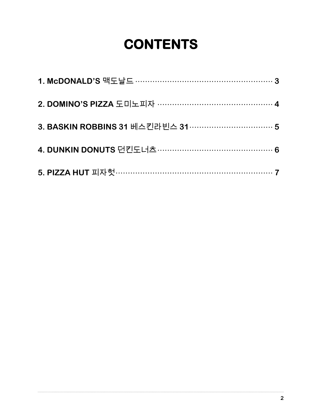# **CONTENTS**

| 2. DOMINO'S PIZZA 도미노피자 …………………………………………4 |  |
|-------------------------------------------|--|
|                                           |  |
|                                           |  |
|                                           |  |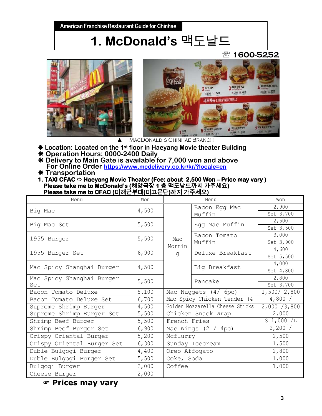## **1. McDonald's** 맥도날드

#### **1600-5252**





 $\blacktriangle$  MacDonald's Chinhae Branch

- **Location: Located on the 1st floor in Haeyang Movie theater Building**
- **Operation Hours: 0000-2400 Daily**
- **Delivery to Main Gate is available for 7,000 won and above For Online Order <https://www.mcdelivery.co.kr/kr/?locale=en>**
- **Transportation**
- **1. TAXI CFAC ☆ Haeyang Movie Theater (Fee: about 2,500 Won Price may vary ) Please take me to McDonald's (**해양극장 **1** 층맥도날드까지가주세요**) Please take me to CFAC (**미해군부대**(**미고문단**)**까지가주세요**)**

| Menu                       | Won   |                                 | Won              |               |
|----------------------------|-------|---------------------------------|------------------|---------------|
| Big Mac                    | 4,500 | Bacon Egg Mac                   |                  | 2,900         |
|                            |       |                                 | Muffin           | Set 3,700     |
| Big Mac Set                | 5,500 |                                 | Egg Mac Muffin   | 2,500         |
|                            |       |                                 |                  | Set 3,500     |
| 1955 Burger                | 5,500 | Mac                             | Bacon Tomato     | 3,000         |
|                            |       | Mornin                          | Muffin           | Set 3,900     |
| 1955 Burger Set            | 6,900 | q                               | Deluxe Breakfast | 4,600         |
|                            |       |                                 |                  | Set 5,500     |
| Mac Spicy Shanghai Burger  | 4,500 |                                 | Big Breakfast    | 4,000         |
|                            |       |                                 |                  | Set 4,800     |
| Mac Spicy Shanghai Burger  | 5,500 |                                 | Pancake          | 2,800         |
| Set                        |       |                                 |                  | Set 3,700     |
| Bacon Tomato Deluxe        | 5.100 | Mac Nuggets $(4/6pc)$           |                  | 1,500/2,800   |
| Bacon Tomato Deluxe Set    | 6,700 | Mac Spicy Chicken Tender (4     |                  | 4,800/        |
| Supreme Shrimp Burger      | 4,500 | Golden Mozzarella Cheese Sticks |                  | 2,000 / 3,800 |
| Supreme Shrimp Burger Set  | 5,500 | Chicken Snack Wrap              |                  | 2,000         |
| Shrimp Beef Burger         | 5,500 | French Fries                    |                  | $S_1,000/L$   |
| Shrimp Beef Burger Set     | 6,900 | Mac Wings $(2 / 4pc)$           |                  | 2,200/        |
| Crispy Oriental Burger     | 5,200 | Mcflurry                        |                  | 2,500         |
| Crispy Oriental Burger Set | 6,300 | Sunday Icecream                 |                  | 1,500         |
| Duble Bulgogi Burger       | 4,400 | Oreo Affogato                   |                  | 2,800         |
| Duble Bulgogi Burger Set   | 5,500 | Coke, Soda                      |                  | 1,000         |
| Bulgogi Burger             | 2,000 | Coffee                          |                  | 1,000         |
| Cheese Burger              | 2,000 |                                 |                  |               |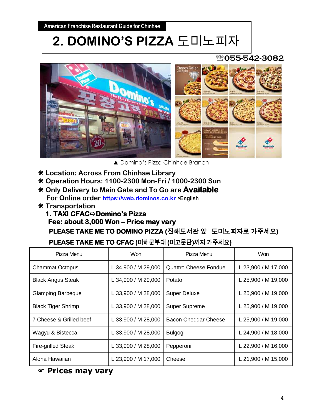### **2. DOMINO'S PIZZA** 도미노피자

#### **055-542-3082**



▲ Domino's Pizza Chinhae Branch

- **Location: Across From Chinhae Library**
- **Operation Hours: 1100-2300 Mon-Fri / 1000-2300 Sun**
- **Only Delivery to Main Gate and To Go are Available For Online order [https://web.dominos.co.kr](https://web.dominos.co.kr/) >English**
- **Transportation**

#### **1. TAXI CFAC**  $⇒$  **Domino's Pizza Fee: about 3,000 Won – Price may vary PLEASE TAKE ME TO DOMINO PIZZA (**진해도서관앞도미노피자로가주세요**)**

#### **PLEASE TAKE ME TO CFAC (**미해군부대 **(**미고문단**)**까지가주세요**)**

| Pizza Menu                | Won                 | Pizza Menu                   | <b>Won</b>          |
|---------------------------|---------------------|------------------------------|---------------------|
| <b>Chammat Octopus</b>    | L 34,900 / M 29,000 | <b>Quattro Cheese Fondue</b> | L 23,900 / M 17,000 |
| <b>Black Angus Steak</b>  | L 34,900 / M 29,000 | Potato                       | L 25,900 / M 19,000 |
| <b>Glamping Barbeque</b>  | L 33,900 / M 28,000 | <b>Super Deluxe</b>          | L 25,900 / M 19,000 |
| <b>Black Tiger Shrimp</b> | L 33,900 / M 28,000 | <b>Super Supreme</b>         | L 25,900 / M 19,000 |
| 7 Cheese & Grilled beef   | L 33,900 / M 28,000 | <b>Bacon Cheddar Cheese</b>  | L 25,900 / M 19,000 |
| Wagyu & Bistecca          | L 33,900 / M 28,000 | <b>Bulgogi</b>               | L 24,900 / M 18,000 |
| <b>Fire-grilled Steak</b> | L 33,900 / M 28,000 | Pepperoni                    | L 22,900 / M 16,000 |
| Aloha Hawaiian            | L 23,900 / M 17,000 | Cheese                       | L 21,900 / M 15,000 |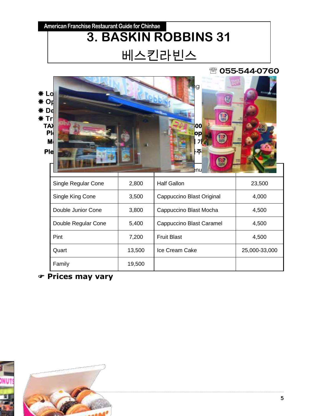### **American Franchise Restaurant Guide for Chinhae 3. BASKIN ROBBINS 31**  베스킨라빈스

#### **055-544-0760**





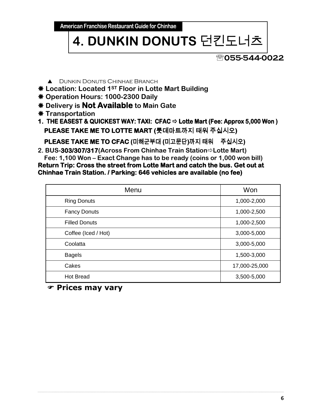**American Franchise Restaurant Guide for Chinhae** 

## **4. DUNKIN DONUTS** 던킨도너츠

#### **055-544-0022**

- **A** DUNKIN DONUTS CHINHAE BRANCH
- **Location: Located 1ST Floor in Lotte Mart Building**
- **Operation Hours: 1000-2300 Daily**
- **Delivery is Not Available to Main Gate**
- **Transportation**
- **1. THE EASEST & QUICKEST WAY: TAXI: CFAC Lotte Mart (Fee: Approx 5,000 Won ) PLEASE TAKE ME TO LOTTE MART (**롯데마트까지태워주십시오**)**

 **PLEASE TAKE ME TO CFAC (**미해군부대 **(**미고문단**)**까지태워주십시오**)** 

**2. BUS-303/307/317(Across From Chinhae Train StationLotte Mart) Fee: 1,100 Won – Exact Change has to be ready (coins or 1,000 won bill)**

**Return Trip: Cross the street from Lotte Mart and catch the bus. Get out at Chinhae Train Station. / Parking: 646 vehicles are available (no fee)** 

| Menu                 | Won           |
|----------------------|---------------|
| <b>Ring Donuts</b>   | 1,000-2,000   |
| <b>Fancy Donuts</b>  | 1,000-2,500   |
| <b>Filled Donuts</b> | 1,000-2,500   |
| Coffee (Iced / Hot)  | 3,000-5,000   |
| Coolatta             | 3,000-5,000   |
| <b>Bagels</b>        | 1,500-3,000   |
| Cakes                | 17,000-25,000 |
| <b>Hot Bread</b>     | 3,500-5,000   |